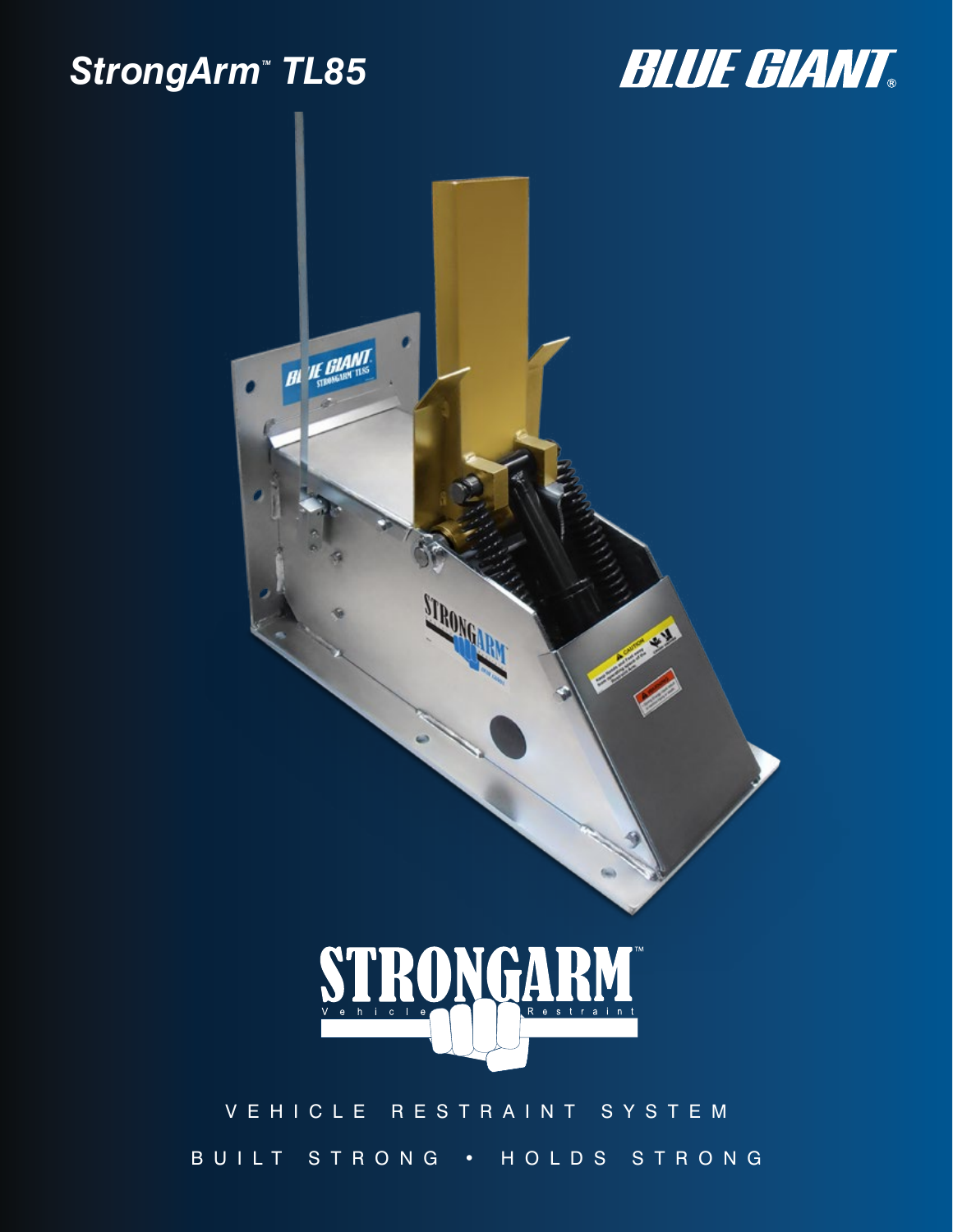## StrongArm<sup>™</sup> TL85





### VEHICLE RESTRAINT SYSTEM BUILT STRONG • HOLDS STRONG